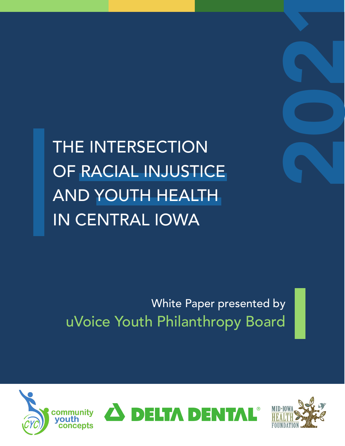

THE INTERSECTION OF RACIAL INJUSTICE AND YOUTH HEALTH IN CENTRAL IOWA

White Paper presented by uVoice Youth Philanthropy Board

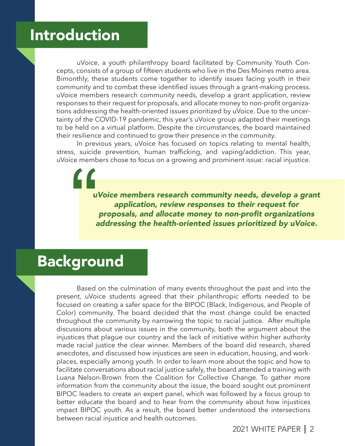## Introduction

 uVoice, a youth philanthropy board facilitated by Community Youth Concepts, consists of a group of fifteen students who live in the Des Moines metro area. Bimonthly, these students come together to identify issues facing youth in their community and to combat these identified issues through a grant-making process. uVoice members research community needs, develop a grant application, review responses to their request for proposals, and allocate money to non-profit organizations addressing the health-oriented issues prioritized by uVoice. Due to the uncertainty of the COVID-19 pandemic, this year's uVoice group adapted their meetings to be held on a virtual platform. Despite the circumstances, the board maintained their resilience and continued to grow their presence in the community.

 In previous years, uVoice has focused on topics relating to mental health, stress, suicide prevention, human trafficking, and vaping/addiction. This year, uVoice members chose to focus on a growing and prominent issue: racial injustice.

*uVoice members research community needs, develop a grant application, review responses to their request for*  proposals, and allocate money to non-profit organizations **"** addressing the health-oriented issues prioritized by uVoice.

### Background

 Based on the culmination of many events throughout the past and into the present, uVoice students agreed that their philanthropic efforts needed to be focused on creating a safer space for the BIPOC (Black, Indigenous, and People of Color) community. The board decided that the most change could be enacted throughout the community by narrowing the topic to racial justice. After multiple discussions about various issues in the community, both the argument about the injustices that plague our country and the lack of initiative within higher authority made racial justice the clear winner. Members of the board did research, shared anecdotes, and discussed how injustices are seen in education, housing, and workplaces, especially among youth. In order to learn more about the topic and how to facilitate conversations about racial justice safely, the board attended a training with Luana Nelson-Brown from the Coalition for Collective Change. To gather more information from the community about the issue, the board sought out prominent BIPOC leaders to create an expert panel, which was followed by a focus group to better educate the board and to hear from the community about how injustices impact BIPOC youth. As a result, the board better understood the intersections between racial injustice and health outcomes.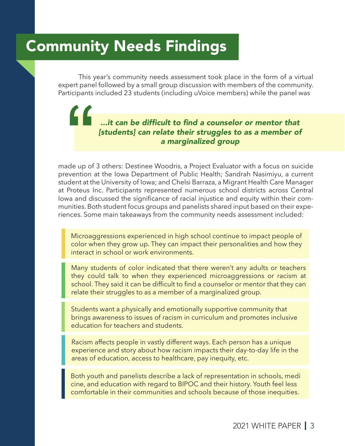## Community Needs Findings

"

 This year's community needs assessment took place in the form of a virtual expert panel followed by a small group discussion with members of the community. Participants included 23 students (including uVoice members) while the panel was

#### ...it can be difficult to find a counselor or mentor that *[students] can relate their struggles to as a member of*  a marginalized group

made up of 3 others: Destinee Woodris, a Project Evaluator with a focus on suicide prevention at the Iowa Department of Public Health; Sandrah Nasimiyu, a current student at the University of Iowa; and Chelsi Barraza, a Migrant Health Care Manager at Proteus Inc. Participants represented numerous school districts across Central Iowa and discussed the significance of racial injustice and equity within their communities. Both student focus groups and panelists shared input based on their experiences. Some main takeaways from the community needs assessment included:

Microaggressions experienced in high school continue to impact people of color when they grow up. They can impact their personalities and how they interact in school or work environments.

Many students of color indicated that there weren't any adults or teachers they could talk to when they experienced microaggressions or racism at school. They said it can be difficult to find a counselor or mentor that they can relate their struggles to as a member of a marginalized group.

 Students want a physically and emotionally supportive community that brings awareness to issues of racism in curriculum and promotes inclusive education for teachers and students.

 Racism affects people in vastly different ways. Each person has a unique experience and story about how racism impacts their day-to-day life in the areas of education, access to healthcare, pay inequity, etc.

 Both youth and panelists describe a lack of representation in schools, medi cine, and education with regard to BIPOC and their history. Youth feel less comfortable in their communities and schools because of those inequities.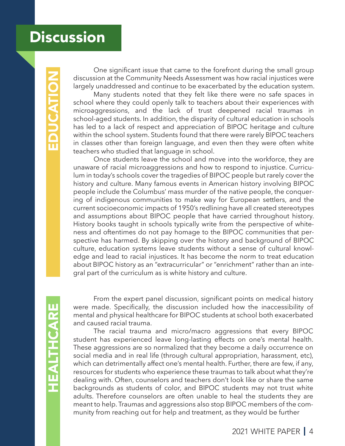## **Discussion**

 One significant issue that came to the forefront during the small group discussion at the Community Needs Assessment was how racial injustices were largely unaddressed and continue to be exacerbated by the education system.

 Many students noted that they felt like there were no safe spaces in school where they could openly talk to teachers about their experiences with microaggressions, and the lack of trust deepened racial traumas in school-aged students. In addition, the disparity of cultural education in schools has led to a lack of respect and appreciation of BIPOC heritage and culture within the school system. Students found that there were rarely BIPOC teachers in classes other than foreign language, and even then they were often white teachers who studied that language in school.

 Once students leave the school and move into the workforce, they are unaware of racial microaggressions and how to respond to injustice. Curriculum in today's schools cover the tragedies of BIPOC people but rarely cover the history and culture. Many famous events in American history involving BIPOC people include the Columbus' mass murder of the native people, the conquering of indigenous communities to make way for European settlers, and the current socioeconomic impacts of 1950's redlining have all created stereotypes and assumptions about BIPOC people that have carried throughout history. History books taught in schools typically write from the perspective of whiteness and oftentimes do not pay homage to the BIPOC communities that perspective has harmed. By skipping over the history and background of BIPOC culture, education systems leave students without a sense of cultural knowledge and lead to racial injustices. It has become the norm to treat education about BIPOC history as an "extracurricular" or "enrichment" rather than an integral part of the curriculum as is white history and culture.

 From the expert panel discussion, significant points on medical history were made. Specifically, the discussion included how the inaccessibility of mental and physical healthcare for BIPOC students at school both exacerbated and caused racial trauma.

 The racial trauma and micro/macro aggressions that every BIPOC student has experienced leave long-lasting effects on one's mental health. These aggressions are so normalized that they become a daily occurrence on social media and in real life (through cultural appropriation, harassment, etc), which can detrimentally affect one's mental health. Further, there are few, if any, resources for students who experience these traumas to talk about what they're dealing with. Often, counselors and teachers don't look like or share the same backgrounds as students of color, and BIPOC students may not trust white adults. Therefore counselors are often unable to heal the students they are meant to help. Traumas and aggressions also stop BIPOC members of the community from reaching out for help and treatment, as they would be further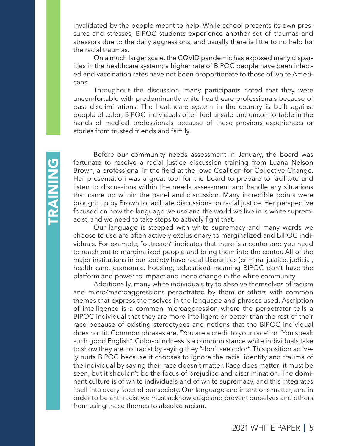invalidated by the people meant to help. While school presents its own pressures and stresses, BIPOC students experience another set of traumas and stressors due to the daily aggressions, and usually there is little to no help for the racial traumas.

 On a much larger scale, the COVID pandemic has exposed many disparities in the healthcare system; a higher rate of BIPOC people have been infected and vaccination rates have not been proportionate to those of white Americans.

 Throughout the discussion, many participants noted that they were uncomfortable with predominantly white healthcare professionals because of past discriminations. The healthcare system in the country is built against people of color; BIPOC individuals often feel unsafe and uncomfortable in the hands of medical professionals because of these previous experiences or stories from trusted friends and family.

 Before our community needs assessment in January, the board was fortunate to receive a racial justice discussion training from Luana Nelson Brown, a professional in the field at the Iowa Coalition for Collective Change. Her presentation was a great tool for the board to prepare to facilitate and listen to discussions within the needs assessment and handle any situations that came up within the panel and discussion. Many incredible points were brought up by Brown to facilitate discussions on racial justice. Her perspective focused on how the language we use and the world we live in is white supremacist, and we need to take steps to actively fight that.

 Our language is steeped with white supremacy and many words we choose to use are often actively exclusionary to marginalized and BIPOC individuals. For example, "outreach" indicates that there is a center and you need to reach out to marginalized people and bring them into the center. All of the major institutions in our society have racial disparities (criminal justice, judicial, health care, economic, housing, education) meaning BIPOC don't have the platform and power to impact and incite change in the white community.

 Additionally, many white individuals try to absolve themselves of racism and micro/macroaggressions perpetrated by them or others with common themes that express themselves in the language and phrases used. Ascription of intelligence is a common microaggression where the perpetrator tells a BIPOC individual that they are more intelligent or better than the rest of their race because of existing stereotypes and notions that the BIPOC individual does not fit. Common phrases are, "You are a credit to your race" or "You speak such good English". Color-blindness is a common stance white individuals take to show they are not racist by saying they "don't see color". This position actively hurts BIPOC because it chooses to ignore the racial identity and trauma of the individual by saying their race doesn't matter. Race does matter; it must be seen, but it shouldn't be the focus of prejudice and discrimination. The dominant culture is of white individuals and of white supremacy, and this integrates itself into every facet of our society. Our language and intentions matter, and in order to be anti-racist we must acknowledge and prevent ourselves and others from using these themes to absolve racism.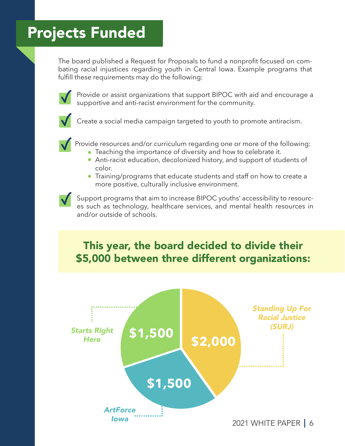# Projects Funded

The board published a Request for Proposals to fund a nonprofit focused on combating racial injustices regarding youth in Central Iowa. Example programs that fulfill these requirements may do the following:



Provide or assist organizations that support BIPOC with aid and encourage a supportive and anti-racist environment for the community.



Create a social media campaign targeted to youth to promote antiracism.



Provide resources and/or curriculum regarding one or more of the following:

- Teaching the importance of diversity and how to celebrate it.
- Anti-racist education, decolonized history, and support of students of color.
- Training/programs that educate students and staff on how to create a more positive, culturally inclusive environment.



Support programs that aim to increase BIPOC youths' accessibility to resources such as technology, healthcare services, and mental health resources in and/or outside of schools.

#### This year, the board decided to divide their \$5,000 between three different organizations:

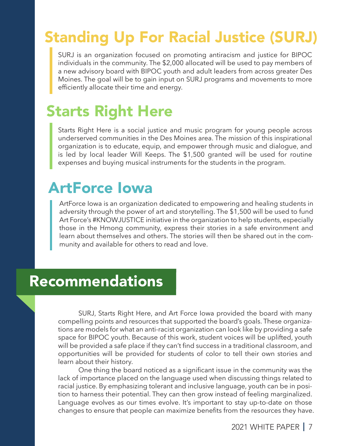# Standing Up For Racial Justice (SURJ)

SURJ is an organization focused on promoting antiracism and justice for BIPOC individuals in the community. The \$2,000 allocated will be used to pay members of a new advisory board with BIPOC youth and adult leaders from across greater Des Moines. The goal will be to gain input on SURJ programs and movements to more efficiently allocate their time and energy.

# Starts Right Here

Starts Right Here is a social justice and music program for young people across underserved communities in the Des Moines area. The mission of this inspirational organization is to educate, equip, and empower through music and dialogue, and is led by local leader Will Keeps. The \$1,500 granted will be used for routine expenses and buying musical instruments for the students in the program.

# ArtForce Iowa

ArtForce Iowa is an organization dedicated to empowering and healing students in adversity through the power of art and storytelling. The \$1,500 will be used to fund Art Force's #KNOWJUSTICE initiative in the organization to help students, especially those in the Hmong community, express their stories in a safe environment and learn about themselves and others. The stories will then be shared out in the community and available for others to read and love.

# Recommendations

 SURJ, Starts Right Here, and Art Force Iowa provided the board with many compelling points and resources that supported the board's goals. These organizations are models for what an anti-racist organization can look like by providing a safe space for BIPOC youth. Because of this work, student voices will be uplifted, youth will be provided a safe place if they can't find success in a traditional classroom, and opportunities will be provided for students of color to tell their own stories and learn about their history.

 One thing the board noticed as a significant issue in the community was the lack of importance placed on the language used when discussing things related to racial justice. By emphasizing tolerant and inclusive language, youth can be in position to harness their potential. They can then grow instead of feeling marginalized. Language evolves as our times evolve. It's important to stay up-to-date on those changes to ensure that people can maximize benefits from the resources they have.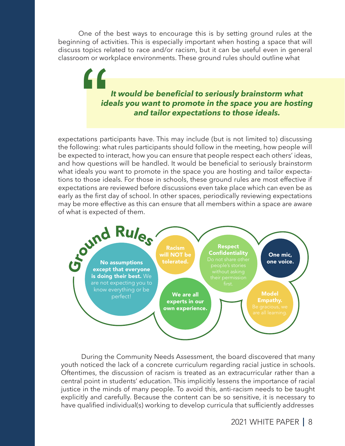One of the best ways to encourage this is by setting ground rules at the beginning of activities. This is especially important when hosting a space that will discuss topics related to race and/or racism, but it can be useful even in general classroom or workplace environments. These ground rules should outline what

> *It would be beneficial to seriously brainstorm what ideals you want to promote in the space you are hosting and tailor expectations to those ideals.*

expectations participants have. This may include (but is not limited to) discussing the following: what rules participants should follow in the meeting, how people will be expected to interact, how you can ensure that people respect each others' ideas, and how questions will be handled. It would be beneficial to seriously brainstorm what ideals you want to promote in the space you are hosting and tailor expectations to those ideals. For those in schools, these ground rules are most effective if expectations are reviewed before discussions even take place which can even be as early as the first day of school. In other spaces, periodically reviewing expectations may be more effective as this can ensure that all members within a space are aware of what is expected of them. rations particular and the set of the set of the set of the set of the set of the set of the set of the set of the set of the set of the set of the set of the set of the set of the set of the set of the set of the set of t



 During the Community Needs Assessment, the board discovered that many youth noticed the lack of a concrete curriculum regarding racial justice in schools. Oftentimes, the discussion of racism is treated as an extracurricular rather than a central point in students' education. This implicitly lessens the importance of racial justice in the minds of many people. To avoid this, anti-racism needs to be taught explicitly and carefully. Because the content can be so sensitive, it is necessary to have qualified individual(s) working to develop curricula that sufficiently addresses